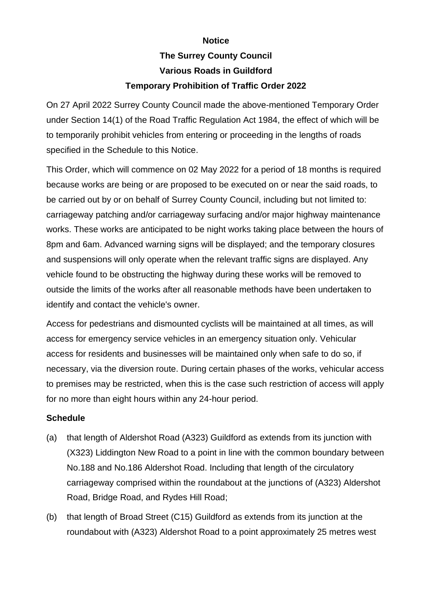## **Notice The Surrey County Council Various Roads in Guildford Temporary Prohibition of Traffic Order 2022**

On 27 April 2022 Surrey County Council made the above-mentioned Temporary Order under Section 14(1) of the Road Traffic Regulation Act 1984, the effect of which will be to temporarily prohibit vehicles from entering or proceeding in the lengths of roads specified in the Schedule to this Notice.

This Order, which will commence on 02 May 2022 for a period of 18 months is required because works are being or are proposed to be executed on or near the said roads, to be carried out by or on behalf of Surrey County Council, including but not limited to: carriageway patching and/or carriageway surfacing and/or major highway maintenance works. These works are anticipated to be night works taking place between the hours of 8pm and 6am. Advanced warning signs will be displayed; and the temporary closures and suspensions will only operate when the relevant traffic signs are displayed. Any vehicle found to be obstructing the highway during these works will be removed to outside the limits of the works after all reasonable methods have been undertaken to identify and contact the vehicle's owner.

Access for pedestrians and dismounted cyclists will be maintained at all times, as will access for emergency service vehicles in an emergency situation only. Vehicular access for residents and businesses will be maintained only when safe to do so, if necessary, via the diversion route. During certain phases of the works, vehicular access to premises may be restricted, when this is the case such restriction of access will apply for no more than eight hours within any 24-hour period.

## **Schedule**

- (a) that length of Aldershot Road (A323) Guildford as extends from its junction with (X323) Liddington New Road to a point in line with the common boundary between No.188 and No.186 Aldershot Road. Including that length of the circulatory carriageway comprised within the roundabout at the junctions of (A323) Aldershot Road, Bridge Road, and Rydes Hill Road;
- (b) that length of Broad Street (C15) Guildford as extends from its junction at the roundabout with (A323) Aldershot Road to a point approximately 25 metres west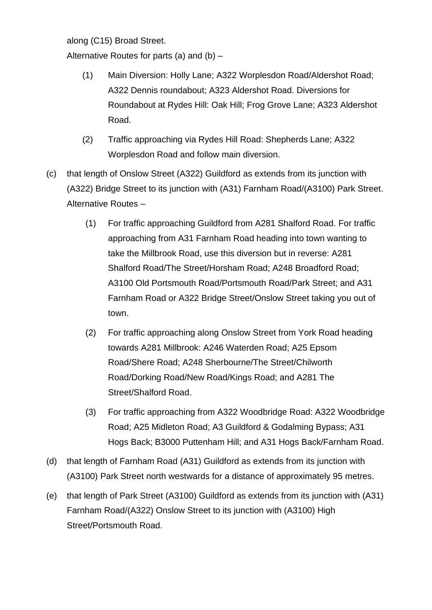along (C15) Broad Street.

Alternative Routes for parts (a) and (b) –

- (1) Main Diversion: Holly Lane; A322 Worplesdon Road/Aldershot Road; A322 Dennis roundabout; A323 Aldershot Road. Diversions for Roundabout at Rydes Hill: Oak Hill; Frog Grove Lane; A323 Aldershot Road.
- (2) Traffic approaching via Rydes Hill Road: Shepherds Lane; A322 Worplesdon Road and follow main diversion.
- (c) that length of Onslow Street (A322) Guildford as extends from its junction with (A322) Bridge Street to its junction with (A31) Farnham Road/(A3100) Park Street. Alternative Routes –
	- (1) For traffic approaching Guildford from A281 Shalford Road. For traffic approaching from A31 Farnham Road heading into town wanting to take the Millbrook Road, use this diversion but in reverse: A281 Shalford Road/The Street/Horsham Road; A248 Broadford Road; A3100 Old Portsmouth Road/Portsmouth Road/Park Street; and A31 Farnham Road or A322 Bridge Street/Onslow Street taking you out of town.
	- (2) For traffic approaching along Onslow Street from York Road heading towards A281 Millbrook: A246 Waterden Road; A25 Epsom Road/Shere Road; A248 Sherbourne/The Street/Chilworth Road/Dorking Road/New Road/Kings Road; and A281 The Street/Shalford Road.
	- (3) For traffic approaching from A322 Woodbridge Road: A322 Woodbridge Road; A25 Midleton Road; A3 Guildford & Godalming Bypass; A31 Hogs Back; B3000 Puttenham Hill; and A31 Hogs Back/Farnham Road.
- (d) that length of Farnham Road (A31) Guildford as extends from its junction with (A3100) Park Street north westwards for a distance of approximately 95 metres.
- (e) that length of Park Street (A3100) Guildford as extends from its junction with (A31) Farnham Road/(A322) Onslow Street to its junction with (A3100) High Street/Portsmouth Road.